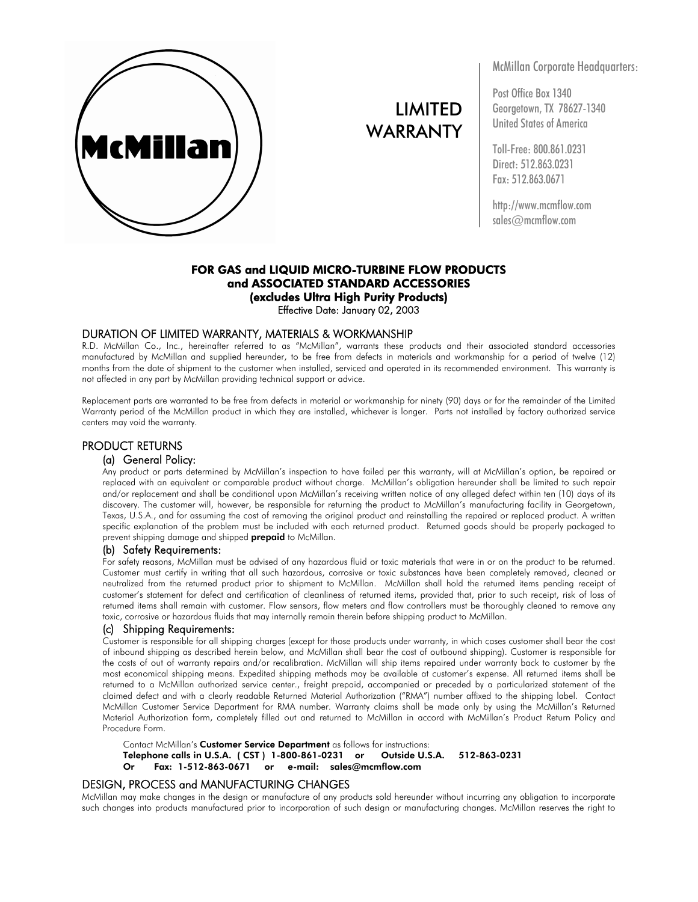

# LIMITED WARRANTY

McMillan Corporate Headquarters:

Post Office Box 1340 Georgetown, TX 78627-1340 United States of America

Toll-Free: 800.861.0231 Direct: 512.863.0231 Fax: 512.863.0671

http://www.mcmflow.com sales@mcmflow.com

## FOR GAS and LIQUID MICRO-TURBINE FLOW PRODUCTS and ASSOCIATED STANDARD ACCESSORIES (excludes Ultra High Purity Products) Effective Date: January 02, 2003

## DURATION OF LIMITED WARRANTY, MATERIALS & WORKMANSHIP

R.D. McMillan Co., Inc., hereinafter referred to as "McMillan", warrants these products and their associated standard accessories manufactured by McMillan and supplied hereunder, to be free from defects in materials and workmanship for a period of twelve (12) months from the date of shipment to the customer when installed, serviced and operated in its recommended environment. This warranty is not affected in any part by McMillan providing technical support or advice.

Replacement parts are warranted to be free from defects in material or workmanship for ninety (90) days or for the remainder of the Limited Warranty period of the McMillan product in which they are installed, whichever is longer. Parts not installed by factory authorized service centers may void the warranty.

## PRODUCT RETURNS

### (a) General Policy:

Any product or parts determined by McMillan's inspection to have failed per this warranty, will at McMillan's option, be repaired or replaced with an equivalent or comparable product without charge. McMillan's obligation hereunder shall be limited to such repair and/or replacement and shall be conditional upon McMillan's receiving written notice of any alleged defect within ten (10) days of its discovery. The customer will, however, be responsible for returning the product to McMillan's manufacturing facility in Georgetown, Texas, U.S.A., and for assuming the cost of removing the original product and reinstalling the repaired or replaced product. A written specific explanation of the problem must be included with each returned product. Returned goods should be properly packaged to prevent shipping damage and shipped **prepaid** to McMillan.

#### (b) Safety Requirements:

For safety reasons, McMillan must be advised of any hazardous fluid or toxic materials that were in or on the product to be returned. Customer must certify in writing that all such hazardous, corrosive or toxic substances have been completely removed, cleaned or neutralized from the returned product prior to shipment to McMillan. McMillan shall hold the returned items pending receipt of customer's statement for defect and certification of cleanliness of returned items, provided that, prior to such receipt, risk of loss of returned items shall remain with customer. Flow sensors, flow meters and flow controllers must be thoroughly cleaned to remove any toxic, corrosive or hazardous fluids that may internally remain therein before shipping product to McMillan.

#### (c) Shipping Requirements:

Customer is responsible for all shipping charges (except for those products under warranty, in which cases customer shall bear the cost of inbound shipping as described herein below, and McMillan shall bear the cost of outbound shipping). Customer is responsible for the costs of out of warranty repairs and/or recalibration. McMillan will ship items repaired under warranty back to customer by the most economical shipping means. Expedited shipping methods may be available at customer's expense. All returned items shall be returned to a McMillan authorized service center., freight prepaid, accompanied or preceded by a particularized statement of the claimed defect and with a clearly readable Returned Material Authorization ("RMA") number affixed to the shipping label. Contact McMillan Customer Service Department for RMA number. Warranty claims shall be made only by using the McMillan's Returned Material Authorization form, completely filled out and returned to McMillan in accord with McMillan's Product Return Policy and Procedure Form.

Contact McMillan's Customer Service Department as follows for instructions: Telephone calls in U.S.A. ( CST ) 1-800-861-0231 or Outside U.S.A. 512-863-0231 Or Fax: 1-512-863-0671 or e-mail: sales@mcmflow.com

#### DESIGN, PROCESS and MANUFACTURING CHANGES

McMillan may make changes in the design or manufacture of any products sold hereunder without incurring any obligation to incorporate such changes into products manufactured prior to incorporation of such design or manufacturing changes. McMillan reserves the right to